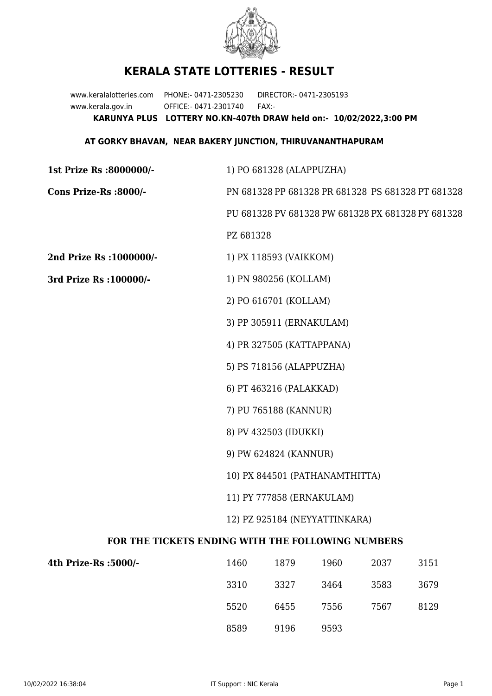

## **KERALA STATE LOTTERIES - RESULT**

www.keralalotteries.com PHONE:- 0471-2305230 DIRECTOR:- 0471-2305193 www.kerala.gov.in OFFICE:- 0471-2301740 FAX:- **KARUNYA PLUS LOTTERY NO.KN-407th DRAW held on:- 10/02/2022,3:00 PM**

## **AT GORKY BHAVAN, NEAR BAKERY JUNCTION, THIRUVANANTHAPURAM**

| 1st Prize Rs :8000000/-                           | 1) PO 681328 (ALAPPUZHA)                          |                           |      |      |                                                   |
|---------------------------------------------------|---------------------------------------------------|---------------------------|------|------|---------------------------------------------------|
| Cons Prize-Rs :8000/-                             | PN 681328 PP 681328 PR 681328 PS 681328 PT 681328 |                           |      |      |                                                   |
|                                                   |                                                   |                           |      |      | PU 681328 PV 681328 PW 681328 PX 681328 PY 681328 |
|                                                   | PZ 681328                                         |                           |      |      |                                                   |
| 2nd Prize Rs : 1000000/-                          |                                                   | 1) PX 118593 (VAIKKOM)    |      |      |                                                   |
| 3rd Prize Rs : 100000/-                           | 1) PN 980256 (KOLLAM)                             |                           |      |      |                                                   |
|                                                   |                                                   | 2) PO 616701 (KOLLAM)     |      |      |                                                   |
|                                                   | 3) PP 305911 (ERNAKULAM)                          |                           |      |      |                                                   |
|                                                   |                                                   | 4) PR 327505 (KATTAPPANA) |      |      |                                                   |
|                                                   |                                                   | 5) PS 718156 (ALAPPUZHA)  |      |      |                                                   |
|                                                   |                                                   | 6) PT 463216 (PALAKKAD)   |      |      |                                                   |
|                                                   |                                                   | 7) PU 765188 (KANNUR)     |      |      |                                                   |
|                                                   | 8) PV 432503 (IDUKKI)                             |                           |      |      |                                                   |
|                                                   | 9) PW 624824 (KANNUR)                             |                           |      |      |                                                   |
|                                                   | 10) PX 844501 (PATHANAMTHITTA)                    |                           |      |      |                                                   |
|                                                   | 11) PY 777858 (ERNAKULAM)                         |                           |      |      |                                                   |
|                                                   | 12) PZ 925184 (NEYYATTINKARA)                     |                           |      |      |                                                   |
| FOR THE TICKETS ENDING WITH THE FOLLOWING NUMBERS |                                                   |                           |      |      |                                                   |
| 4th Prize-Rs :5000/-                              | 1460                                              | 1879                      | 1960 | 2037 | 3151                                              |
|                                                   |                                                   |                           |      |      |                                                   |

| 1400 | 10/Y | 1900 | 2037 | 3131 |
|------|------|------|------|------|
| 3310 | 3327 | 3464 | 3583 | 3679 |
| 5520 | 6455 | 7556 | 7567 | 8129 |
| 8589 | 9196 | 9593 |      |      |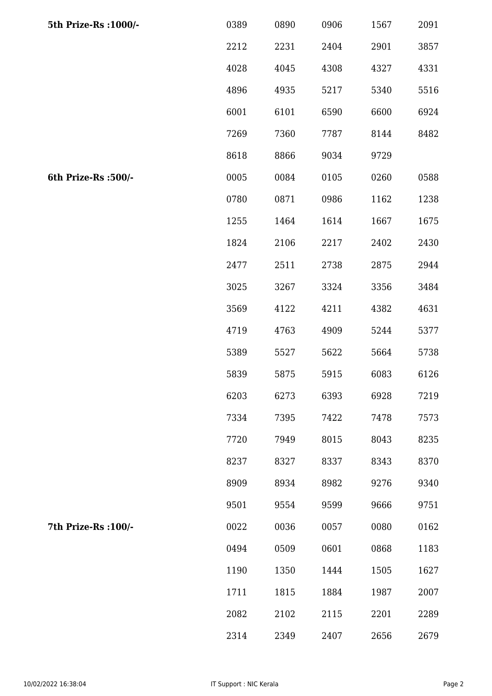| 5th Prize-Rs : 1000/- | 0389 | 0890 | 0906 | 1567 | 2091 |
|-----------------------|------|------|------|------|------|
|                       | 2212 | 2231 | 2404 | 2901 | 3857 |
|                       | 4028 | 4045 | 4308 | 4327 | 4331 |
|                       | 4896 | 4935 | 5217 | 5340 | 5516 |
|                       | 6001 | 6101 | 6590 | 6600 | 6924 |
|                       | 7269 | 7360 | 7787 | 8144 | 8482 |
|                       | 8618 | 8866 | 9034 | 9729 |      |
| 6th Prize-Rs :500/-   | 0005 | 0084 | 0105 | 0260 | 0588 |
|                       | 0780 | 0871 | 0986 | 1162 | 1238 |
|                       | 1255 | 1464 | 1614 | 1667 | 1675 |
|                       | 1824 | 2106 | 2217 | 2402 | 2430 |
|                       | 2477 | 2511 | 2738 | 2875 | 2944 |
|                       | 3025 | 3267 | 3324 | 3356 | 3484 |
|                       | 3569 | 4122 | 4211 | 4382 | 4631 |
|                       | 4719 | 4763 | 4909 | 5244 | 5377 |
|                       | 5389 | 5527 | 5622 | 5664 | 5738 |
|                       | 5839 | 5875 | 5915 | 6083 | 6126 |
|                       | 6203 | 6273 | 6393 | 6928 | 7219 |
|                       | 7334 | 7395 | 7422 | 7478 | 7573 |
|                       | 7720 | 7949 | 8015 | 8043 | 8235 |
|                       | 8237 | 8327 | 8337 | 8343 | 8370 |
|                       | 8909 | 8934 | 8982 | 9276 | 9340 |
|                       | 9501 | 9554 | 9599 | 9666 | 9751 |
| 7th Prize-Rs : 100/-  | 0022 | 0036 | 0057 | 0080 | 0162 |
|                       | 0494 | 0509 | 0601 | 0868 | 1183 |
|                       | 1190 | 1350 | 1444 | 1505 | 1627 |
|                       | 1711 | 1815 | 1884 | 1987 | 2007 |
|                       | 2082 | 2102 | 2115 | 2201 | 2289 |
|                       | 2314 | 2349 | 2407 | 2656 | 2679 |